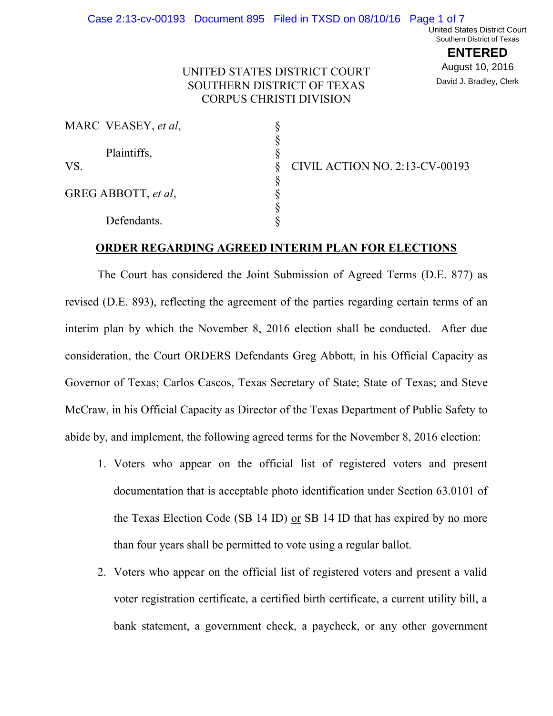**ENTERED** August 10, 2016 David J. Bradley, Clerk

## UNITED STATES DISTRICT COURT SOUTHERN DISTRICT OF TEXAS CORPUS CHRISTI DIVISION

|     | MARC VEASEY, et al, |                                       |
|-----|---------------------|---------------------------------------|
|     |                     |                                       |
|     | Plaintiffs,         |                                       |
| VS. |                     | <b>CIVIL ACTION NO. 2:13-CV-00193</b> |
|     |                     |                                       |
|     | GREG ABBOTT, et al, |                                       |
|     |                     |                                       |
|     | Defendants.         |                                       |

### **ORDER REGARDING AGREED INTERIM PLAN FOR ELECTIONS**

 The Court has considered the Joint Submission of Agreed Terms (D.E. 877) as revised (D.E. 893), reflecting the agreement of the parties regarding certain terms of an interim plan by which the November 8, 2016 election shall be conducted. After due consideration, the Court ORDERS Defendants Greg Abbott, in his Official Capacity as Governor of Texas; Carlos Cascos, Texas Secretary of State; State of Texas; and Steve McCraw, in his Official Capacity as Director of the Texas Department of Public Safety to abide by, and implement, the following agreed terms for the November 8, 2016 election:

- 1. Voters who appear on the official list of registered voters and present documentation that is acceptable photo identification under Section 63.0101 of the Texas Election Code (SB 14 ID) or SB 14 ID that has expired by no more than four years shall be permitted to vote using a regular ballot.
- 2. Voters who appear on the official list of registered voters and present a valid voter registration certificate, a certified birth certificate, a current utility bill, a bank statement, a government check, a paycheck, or any other government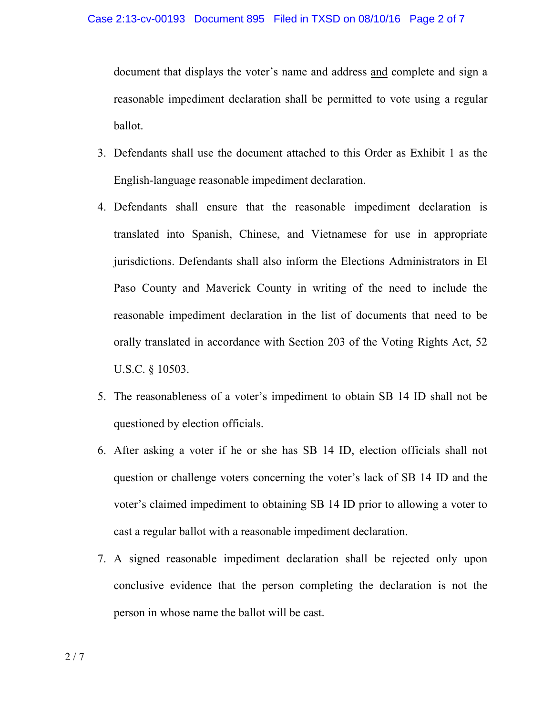document that displays the voter's name and address and complete and sign a reasonable impediment declaration shall be permitted to vote using a regular ballot.

- 3. Defendants shall use the document attached to this Order as Exhibit 1 as the English-language reasonable impediment declaration.
- 4. Defendants shall ensure that the reasonable impediment declaration is translated into Spanish, Chinese, and Vietnamese for use in appropriate jurisdictions. Defendants shall also inform the Elections Administrators in El Paso County and Maverick County in writing of the need to include the reasonable impediment declaration in the list of documents that need to be orally translated in accordance with Section 203 of the Voting Rights Act, 52 U.S.C. § 10503.
- 5. The reasonableness of a voter's impediment to obtain SB 14 ID shall not be questioned by election officials.
- 6. After asking a voter if he or she has SB 14 ID, election officials shall not question or challenge voters concerning the voter's lack of SB 14 ID and the voter's claimed impediment to obtaining SB 14 ID prior to allowing a voter to cast a regular ballot with a reasonable impediment declaration.
- 7. A signed reasonable impediment declaration shall be rejected only upon conclusive evidence that the person completing the declaration is not the person in whose name the ballot will be cast.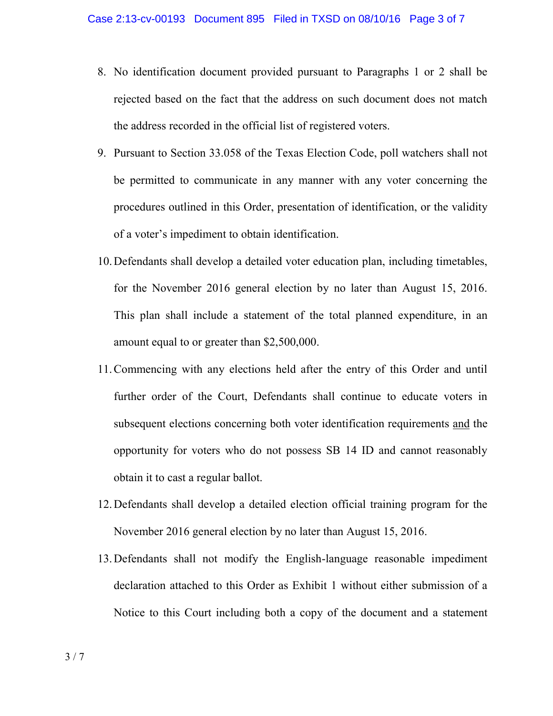- 8. No identification document provided pursuant to Paragraphs 1 or 2 shall be rejected based on the fact that the address on such document does not match the address recorded in the official list of registered voters.
- 9. Pursuant to Section 33.058 of the Texas Election Code, poll watchers shall not be permitted to communicate in any manner with any voter concerning the procedures outlined in this Order, presentation of identification, or the validity of a voter's impediment to obtain identification.
- 10.Defendants shall develop a detailed voter education plan, including timetables, for the November 2016 general election by no later than August 15, 2016. This plan shall include a statement of the total planned expenditure, in an amount equal to or greater than \$2,500,000.
- 11.Commencing with any elections held after the entry of this Order and until further order of the Court, Defendants shall continue to educate voters in subsequent elections concerning both voter identification requirements and the opportunity for voters who do not possess SB 14 ID and cannot reasonably obtain it to cast a regular ballot.
- 12.Defendants shall develop a detailed election official training program for the November 2016 general election by no later than August 15, 2016.
- 13.Defendants shall not modify the English-language reasonable impediment declaration attached to this Order as Exhibit 1 without either submission of a Notice to this Court including both a copy of the document and a statement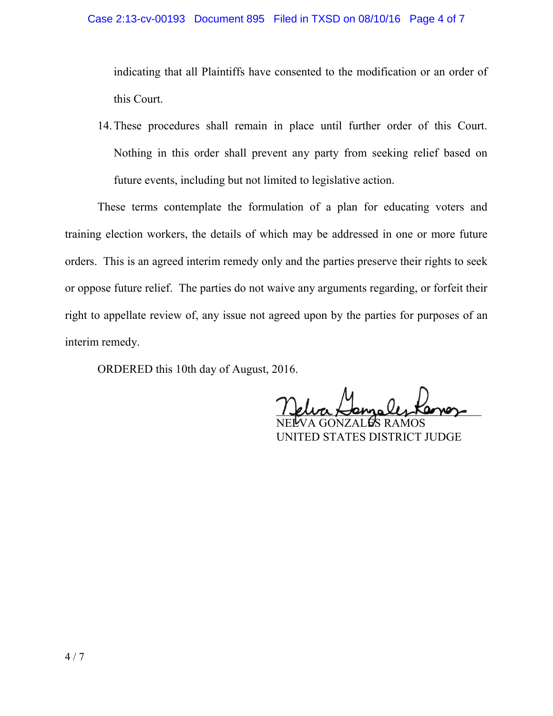### Case 2:13-cv-00193 Document 895 Filed in TXSD on 08/10/16 Page 4 of 7

indicating that all Plaintiffs have consented to the modification or an order of this Court.

14.These procedures shall remain in place until further order of this Court. Nothing in this order shall prevent any party from seeking relief based on future events, including but not limited to legislative action.

 These terms contemplate the formulation of a plan for educating voters and training election workers, the details of which may be addressed in one or more future orders. This is an agreed interim remedy only and the parties preserve their rights to seek or oppose future relief. The parties do not waive any arguments regarding, or forfeit their right to appellate review of, any issue not agreed upon by the parties for purposes of an interim remedy.

ORDERED this 10th day of August, 2016.

1 euro Hennales Kernez

NELVA GONZALES RAMOS UNITED STATES DISTRICT JUDGE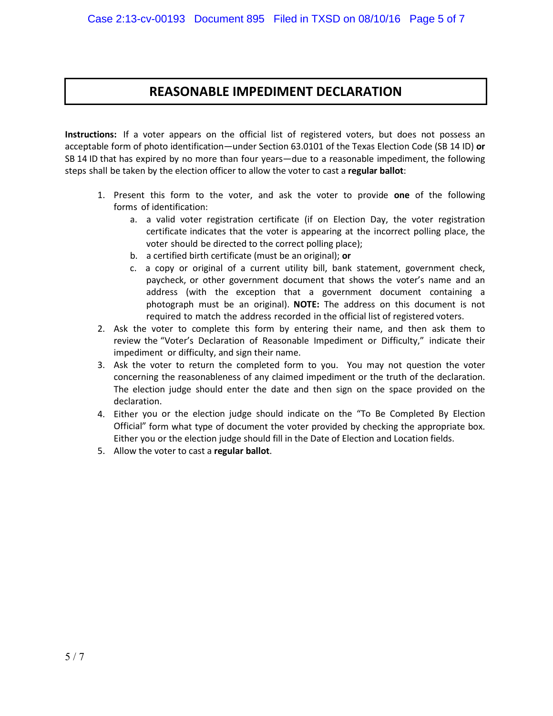## **REASONABLE IMPEDIMENT DECLARATION**

**Instructions:** If a voter appears on the official list of registered voters, but does not possess an acceptable form of photo identification—under Section 63.0101 of the Texas Election Code (SB 14 ID) **or**  SB 14 ID that has expired by no more than four years—due to a reasonable impediment, the following steps shall be taken by the election officer to allow the voter to cast a **regular ballot**:

- 1. Present this form to the voter, and ask the voter to provide **one** of the following forms of identification:
	- a. a valid voter registration certificate (if on Election Day, the voter registration certificate indicates that the voter is appearing at the incorrect polling place, the voter should be directed to the correct polling place);
	- b. a certified birth certificate (must be an original); **or**
	- c. a copy or original of a current utility bill, bank statement, government check, paycheck, or other government document that shows the voter's name and an address (with the exception that a government document containing a photograph must be an original). **NOTE:** The address on this document is not required to match the address recorded in the official list of registered voters.
- 2. Ask the voter to complete this form by entering their name, and then ask them to review the "Voter's Declaration of Reasonable Impediment or Difficulty," indicate their impediment or difficulty, and sign their name.
- 3. Ask the voter to return the completed form to you. You may not question the voter concerning the reasonableness of any claimed impediment or the truth of the declaration. The election judge should enter the date and then sign on the space provided on the declaration.
- 4. Either you or the election judge should indicate on the "To Be Completed By Election Official" form what type of document the voter provided by checking the appropriate box. Either you or the election judge should fill in the Date of Election and Location fields.
- 5. Allow the voter to cast a **regular ballot**.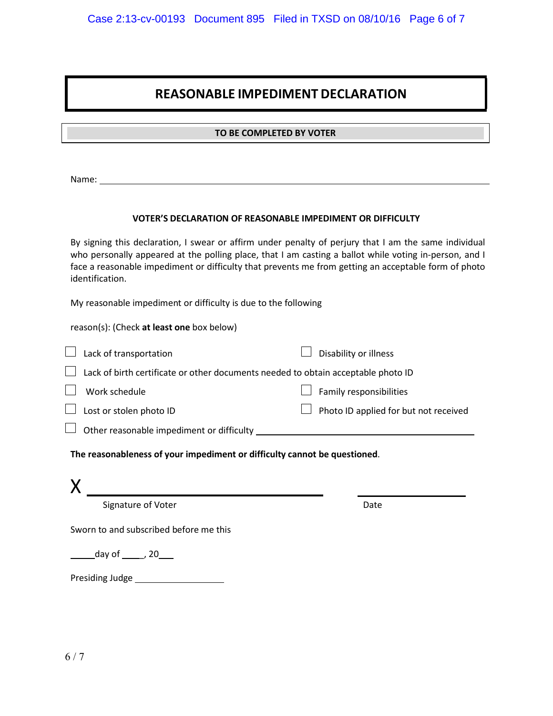# **REASONABLE IMPEDIMENT DECLARATION**

## **TO BE TO BE COMPLETED BY VOTER**

Name:

#### **VOTER'S DECLARATION OF REASONABLE IMPEDIMENT OR DIFFICULTY**

By signing this declaration, I swear or affirm under penalty of perjury that I am the same individual who personally appeared at the polling place, that I am casting a ballot while voting in-person, and I face a reasonable impediment or difficulty that prevents me from getting an acceptable form of photo identification.

My reasonable impediment or difficulty is due to the following

reason(s): (Check **at least one** box below)

| $\Box$ Lack of transportation                                                            |  | Disability or illness                        |  |
|------------------------------------------------------------------------------------------|--|----------------------------------------------|--|
| $\Box$ Lack of birth certificate or other documents needed to obtain acceptable photo ID |  |                                              |  |
| $\Box$ Work schedule                                                                     |  | $\Box$ Family responsibilities               |  |
| $\Box$ Lost or stolen photo ID                                                           |  | $\Box$ Photo ID applied for but not received |  |
| $\Box$ Other reasonable impediment or difficulty                                         |  |                                              |  |

**The reasonableness of your impediment or difficulty cannot be questioned**.

| Signature of Voter                     | Date |
|----------------------------------------|------|
| Sworn to and subscribed before me this |      |
| day of $\_\_$ , 20                     |      |
| Presiding Judge                        |      |